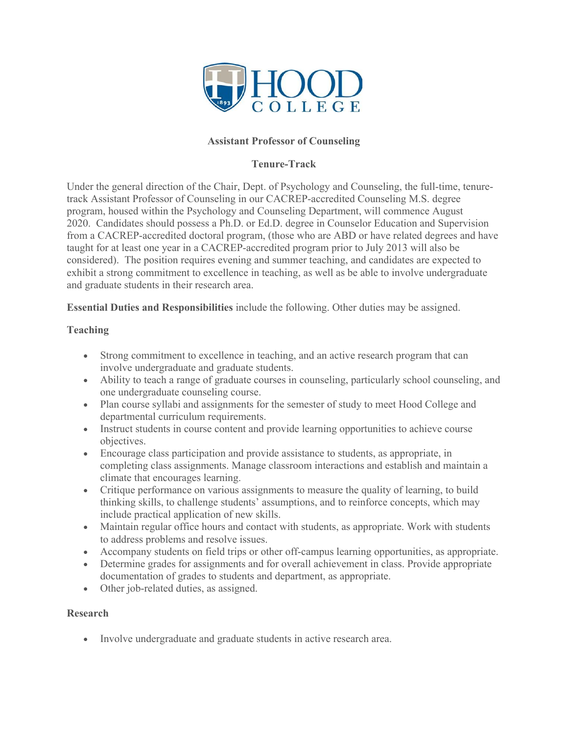

## **Assistant Professor of Counseling**

### **Tenure-Track**

Under the general direction of the Chair, Dept. of Psychology and Counseling, the full-time, tenuretrack Assistant Professor of Counseling in our CACREP-accredited Counseling M.S. degree program, housed within the Psychology and Counseling Department, will commence August 2020. Candidates should possess a Ph.D. or Ed.D. degree in Counselor Education and Supervision from a CACREP-accredited doctoral program, (those who are ABD or have related degrees and have taught for at least one year in a CACREP-accredited program prior to July 2013 will also be considered). The position requires evening and summer teaching, and candidates are expected to exhibit a strong commitment to excellence in teaching, as well as be able to involve undergraduate and graduate students in their research area.

**Essential Duties and Responsibilities** include the following. Other duties may be assigned.

## **Teaching**

- Strong commitment to excellence in teaching, and an active research program that can involve undergraduate and graduate students.
- Ability to teach a range of graduate courses in counseling, particularly school counseling, and one undergraduate counseling course.
- Plan course syllabi and assignments for the semester of study to meet Hood College and departmental curriculum requirements.
- Instruct students in course content and provide learning opportunities to achieve course objectives.
- Encourage class participation and provide assistance to students, as appropriate, in completing class assignments. Manage classroom interactions and establish and maintain a climate that encourages learning.
- Critique performance on various assignments to measure the quality of learning, to build thinking skills, to challenge students' assumptions, and to reinforce concepts, which may include practical application of new skills.
- Maintain regular office hours and contact with students, as appropriate. Work with students to address problems and resolve issues.
- Accompany students on field trips or other off-campus learning opportunities, as appropriate.
- Determine grades for assignments and for overall achievement in class. Provide appropriate documentation of grades to students and department, as appropriate.
- Other job-related duties, as assigned.

#### **Research**

• Involve undergraduate and graduate students in active research area.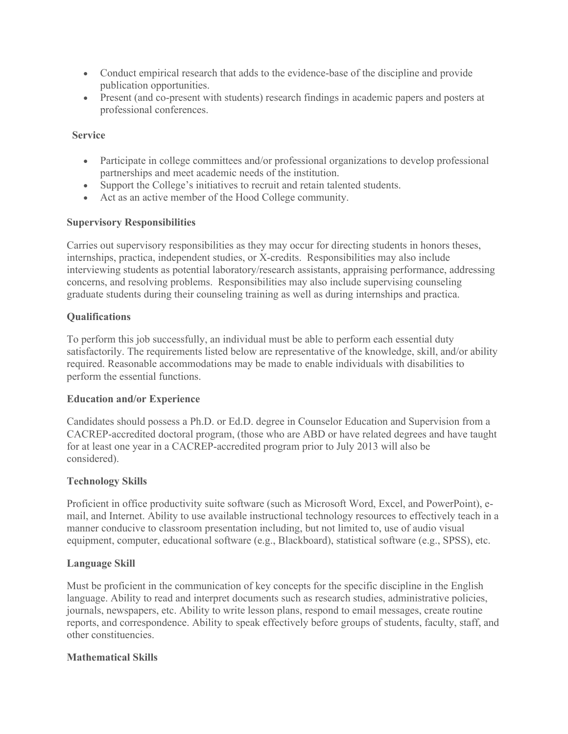- Conduct empirical research that adds to the evidence-base of the discipline and provide publication opportunities.
- Present (and co-present with students) research findings in academic papers and posters at professional conferences.

### **Service**

- Participate in college committees and/or professional organizations to develop professional partnerships and meet academic needs of the institution.
- Support the College's initiatives to recruit and retain talented students.
- Act as an active member of the Hood College community.

## **Supervisory Responsibilities**

Carries out supervisory responsibilities as they may occur for directing students in honors theses, internships, practica, independent studies, or X-credits. Responsibilities may also include interviewing students as potential laboratory/research assistants, appraising performance, addressing concerns, and resolving problems. Responsibilities may also include supervising counseling graduate students during their counseling training as well as during internships and practica.

## **Qualifications**

To perform this job successfully, an individual must be able to perform each essential duty satisfactorily. The requirements listed below are representative of the knowledge, skill, and/or ability required. Reasonable accommodations may be made to enable individuals with disabilities to perform the essential functions.

#### **Education and/or Experience**

Candidates should possess a Ph.D. or Ed.D. degree in Counselor Education and Supervision from a CACREP-accredited doctoral program, (those who are ABD or have related degrees and have taught for at least one year in a CACREP-accredited program prior to July 2013 will also be considered).

# **Technology Skills**

Proficient in office productivity suite software (such as Microsoft Word, Excel, and PowerPoint), email, and Internet. Ability to use available instructional technology resources to effectively teach in a manner conducive to classroom presentation including, but not limited to, use of audio visual equipment, computer, educational software (e.g., Blackboard), statistical software (e.g., SPSS), etc.

#### **Language Skill**

Must be proficient in the communication of key concepts for the specific discipline in the English language. Ability to read and interpret documents such as research studies, administrative policies, journals, newspapers, etc. Ability to write lesson plans, respond to email messages, create routine reports, and correspondence. Ability to speak effectively before groups of students, faculty, staff, and other constituencies.

# **Mathematical Skills**